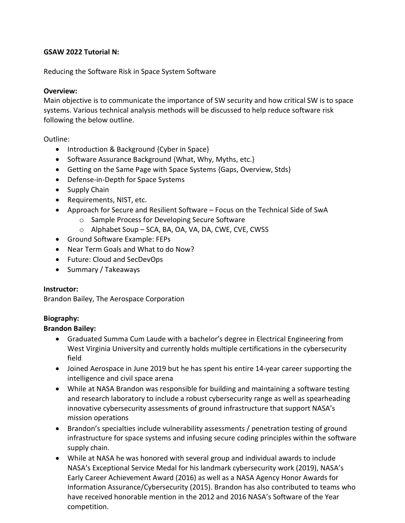#### **GSAW 2022 Tutorial N:**

Reducing the Software Risk in Space System Software

### **Overview:**

Main objective is to communicate the importance of SW security and how critical SW is to space systems. Various technical analysis methods will be discussed to help reduce software risk following the below outline.

### Outline:

- Introduction & Background {Cyber in Space}
- Software Assurance Background {What, Why, Myths, etc.}
- Getting on the Same Page with Space Systems {Gaps, Overview, Stds}
- Defense-in-Depth for Space Systems
- Supply Chain
- Requirements, NIST, etc.
- Approach for Secure and Resilient Software Focus on the Technical Side of SwA
	- o Sample Process for Developing Secure Software
	- o Alphabet Soup SCA, BA, OA, VA, DA, CWE, CVE, CWSS
- Ground Software Example: FEPs
- Near Term Goals and What to do Now?
- Future: Cloud and SecDevOps
- Summary / Takeaways

# **Instructor:**

Brandon Bailey, The Aerospace Corporation

# **Biography:**

# **Brandon Bailey:**

- Graduated Summa Cum Laude with a bachelor's degree in Electrical Engineering from West Virginia University and currently holds multiple certifications in the cybersecurity field
- Joined Aerospace in June 2019 but he has spent his entire 14-year career supporting the intelligence and civil space arena
- While at NASA Brandon was responsible for building and maintaining a software testing and research laboratory to include a robust cybersecurity range as well as spearheading innovative cybersecurity assessments of ground infrastructure that support NASA's mission operations
- Brandon's specialties include vulnerability assessments / penetration testing of ground infrastructure for space systems and infusing secure coding principles within the software supply chain.
- While at NASA he was honored with several group and individual awards to include NASA's Exceptional Service Medal for his landmark cybersecurity work (2019), NASA's Early Career Achievement Award (2016) as well as a NASA Agency Honor Awards for Information Assurance/Cybersecurity (2015). Brandon has also contributed to teams who have received honorable mention in the 2012 and 2016 NASA's Software of the Year competition.